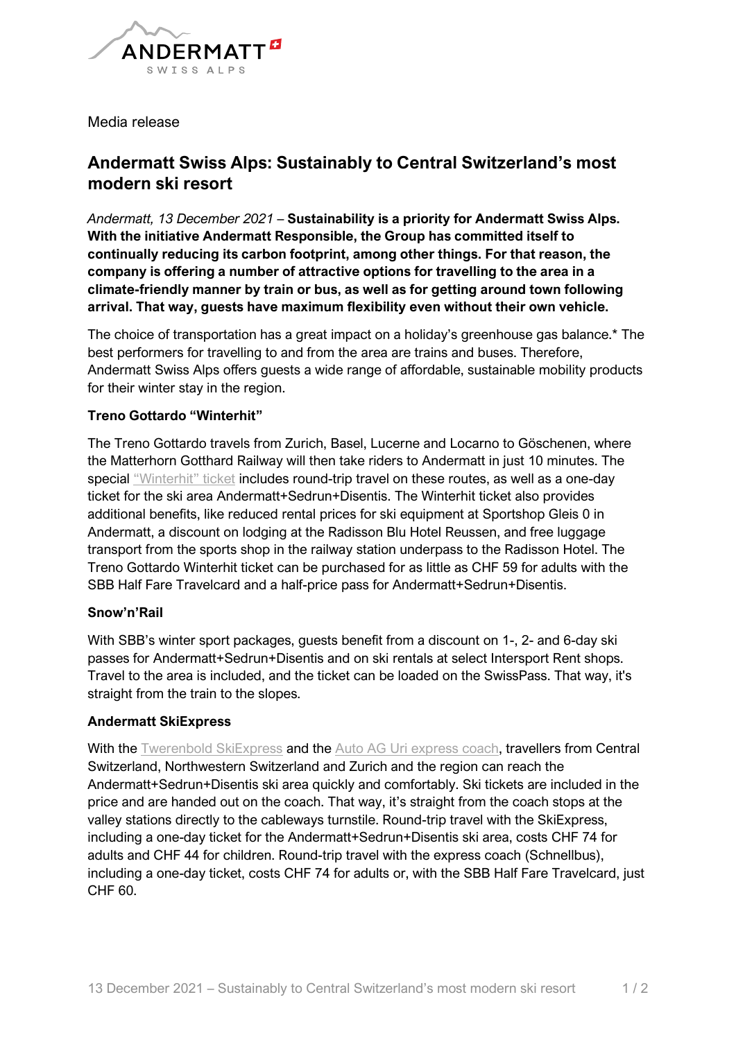

Media release

# **Andermatt Swiss Alps: Sustainably to Central Switzerland's most modern ski resort**

*Andermatt, 13 December 2021* – **Sustainability is a priority for Andermatt Swiss Alps. With the initiative Andermatt Responsible, the Group has committed itself to continually reducing its carbon footprint, among other things. For that reason, the company is offering a number of attractive options for travelling to the area in a climate-friendly manner by train or bus, as well as for getting around town following arrival. That way, guests have maximum flexibility even without their own vehicle.**

The choice of transportation has a great impact on a holiday's greenhouse gas balance.\* The best performers for travelling to and from the area are trains and buses. Therefore, Andermatt Swiss Alps offers guests a wide range of affordable, sustainable mobility products for their winter stay in the region.

# **Treno Gottardo "Winterhit"**

The Treno Gottardo travels from Zurich, Basel, Lucerne and Locarno to Göschenen, where the Matterhorn Gotthard Railway will then take riders to Andermatt in just 10 minutes. The special ["Winterhit" ticket](https://www.andermatt-sedrun-disentis.ch/en/stories/spezialangebote-treno-gottardo-und-snownrail) includes round-trip travel on these routes, as well as a one-day ticket for the ski area Andermatt+Sedrun+Disentis. The Winterhit ticket also provides additional benefits, like reduced rental prices for ski equipment at Sportshop Gleis 0 in Andermatt, a discount on lodging at the Radisson Blu Hotel Reussen, and free luggage transport from the sports shop in the railway station underpass to the Radisson Hotel. The Treno Gottardo Winterhit ticket can be purchased for as little as CHF 59 for adults with the SBB Half Fare Travelcard and a half-price pass for Andermatt+Sedrun+Disentis.

### **Snow'n'Rail**

With SBB's winter sport packages, guests benefit from a discount on 1-, 2- and 6-day ski passes for Andermatt+Sedrun+Disentis and on ski rentals at select Intersport Rent shops. Travel to the area is included, and the ticket can be loaded on the SwissPass. That way, it's straight from the train to the slopes.

### **Andermatt SkiExpress**

With the [Twerenbold SkiExpress](https://www.twerenbold.ch/reise/andermatt-ski-express-tande) and the [Auto AG Uri express coach,](https://www.andermatt-sedrun-disentis.ch/en/stories/bequem-ins-skigebiet-mit-auto-ag-uri) travellers from Central Switzerland, Northwestern Switzerland and Zurich and the region can reach the Andermatt+Sedrun+Disentis ski area quickly and comfortably. Ski tickets are included in the price and are handed out on the coach. That way, it's straight from the coach stops at the valley stations directly to the cableways turnstile. Round-trip travel with the SkiExpress, including a one-day ticket for the Andermatt+Sedrun+Disentis ski area, costs CHF 74 for adults and CHF 44 for children. Round-trip travel with the express coach (Schnellbus), including a one-day ticket, costs CHF 74 for adults or, with the SBB Half Fare Travelcard, just CHF 60.